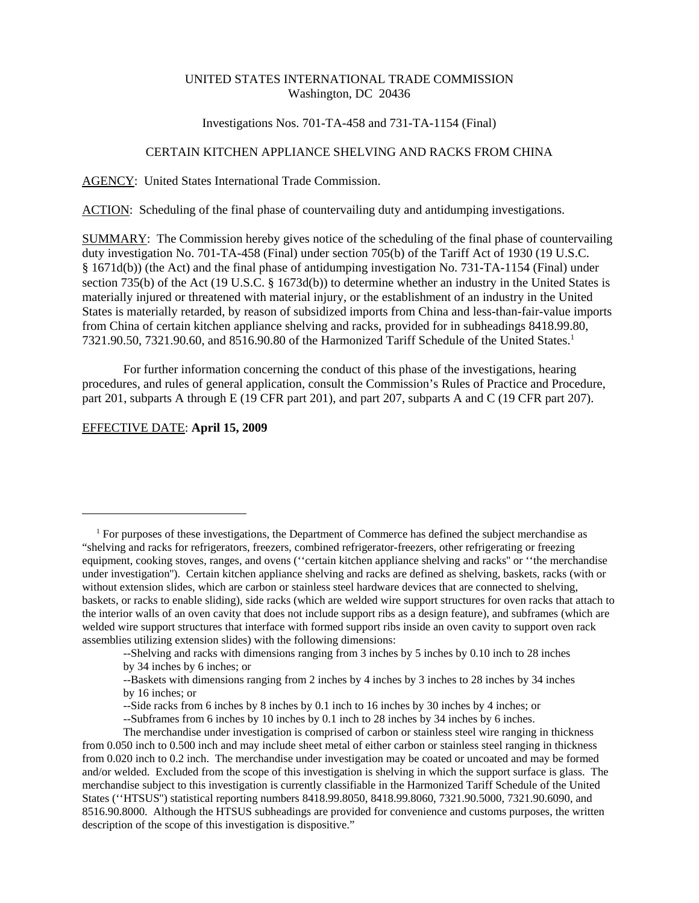## UNITED STATES INTERNATIONAL TRADE COMMISSION Washington, DC 20436

### Investigations Nos. 701-TA-458 and 731-TA-1154 (Final)

# CERTAIN KITCHEN APPLIANCE SHELVING AND RACKS FROM CHINA

AGENCY: United States International Trade Commission.

ACTION: Scheduling of the final phase of countervailing duty and antidumping investigations.

SUMMARY: The Commission hereby gives notice of the scheduling of the final phase of countervailing duty investigation No. 701-TA-458 (Final) under section 705(b) of the Tariff Act of 1930 (19 U.S.C. § 1671d(b)) (the Act) and the final phase of antidumping investigation No. 731-TA-1154 (Final) under section 735(b) of the Act (19 U.S.C. § 1673d(b)) to determine whether an industry in the United States is materially injured or threatened with material injury, or the establishment of an industry in the United States is materially retarded, by reason of subsidized imports from China and less-than-fair-value imports from China of certain kitchen appliance shelving and racks, provided for in subheadings 8418.99.80, 7321.90.50, 7321.90.60, and 8516.90.80 of the Harmonized Tariff Schedule of the United States.<sup>1</sup>

For further information concerning the conduct of this phase of the investigations, hearing procedures, and rules of general application, consult the Commission's Rules of Practice and Procedure, part 201, subparts A through E (19 CFR part 201), and part 207, subparts A and C (19 CFR part 207).

#### EFFECTIVE DATE: **April 15, 2009**

 <sup>1</sup> For purposes of these investigations, the Department of Commerce has defined the subject merchandise as "shelving and racks for refrigerators, freezers, combined refrigerator-freezers, other refrigerating or freezing equipment, cooking stoves, ranges, and ovens (''certain kitchen appliance shelving and racks'' or ''the merchandise under investigation''). Certain kitchen appliance shelving and racks are defined as shelving, baskets, racks (with or without extension slides, which are carbon or stainless steel hardware devices that are connected to shelving, baskets, or racks to enable sliding), side racks (which are welded wire support structures for oven racks that attach to the interior walls of an oven cavity that does not include support ribs as a design feature), and subframes (which are welded wire support structures that interface with formed support ribs inside an oven cavity to support oven rack assemblies utilizing extension slides) with the following dimensions:

<sup>--</sup>Shelving and racks with dimensions ranging from 3 inches by 5 inches by 0.10 inch to 28 inches by 34 inches by 6 inches; or

<sup>--</sup>Baskets with dimensions ranging from 2 inches by 4 inches by 3 inches to 28 inches by 34 inches by 16 inches; or

<sup>--</sup>Side racks from 6 inches by 8 inches by 0.1 inch to 16 inches by 30 inches by 4 inches; or

<sup>--</sup>Subframes from 6 inches by 10 inches by 0.1 inch to 28 inches by 34 inches by 6 inches.

The merchandise under investigation is comprised of carbon or stainless steel wire ranging in thickness from 0.050 inch to 0.500 inch and may include sheet metal of either carbon or stainless steel ranging in thickness from 0.020 inch to 0.2 inch. The merchandise under investigation may be coated or uncoated and may be formed and/or welded. Excluded from the scope of this investigation is shelving in which the support surface is glass. The merchandise subject to this investigation is currently classifiable in the Harmonized Tariff Schedule of the United States (''HTSUS'') statistical reporting numbers 8418.99.8050, 8418.99.8060, 7321.90.5000, 7321.90.6090, and 8516.90.8000. Although the HTSUS subheadings are provided for convenience and customs purposes, the written description of the scope of this investigation is dispositive."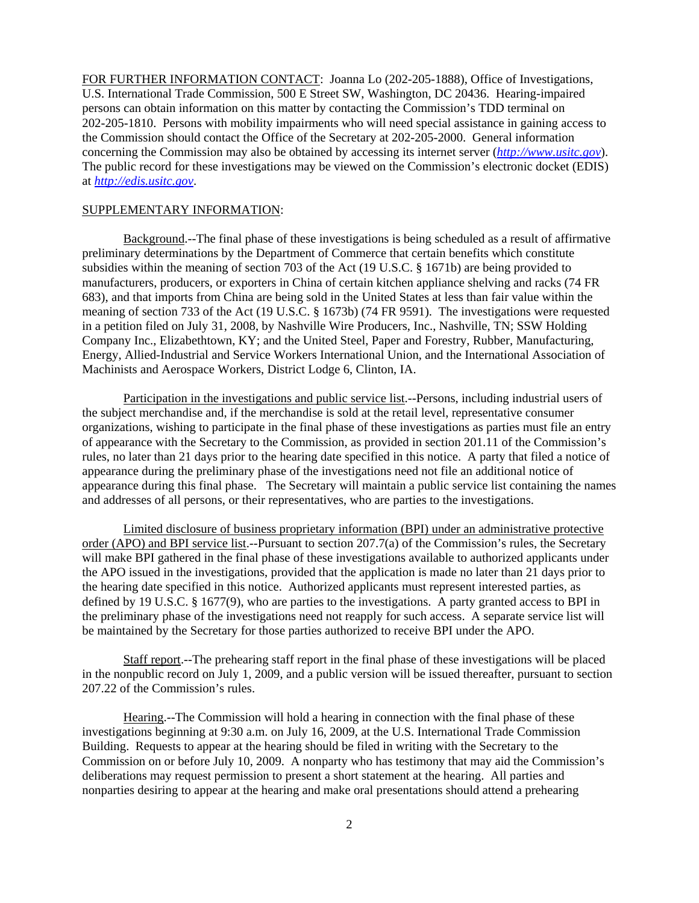FOR FURTHER INFORMATION CONTACT: Joanna Lo (202-205-1888), Office of Investigations, U.S. International Trade Commission, 500 E Street SW, Washington, DC 20436. Hearing-impaired persons can obtain information on this matter by contacting the Commission's TDD terminal on 202-205-1810. Persons with mobility impairments who will need special assistance in gaining access to the Commission should contact the Office of the Secretary at 202-205-2000. General information concerning the Commission may also be obtained by accessing its internet server (*http://www.usitc.gov*). The public record for these investigations may be viewed on the Commission's electronic docket (EDIS) at *http://edis.usitc.gov*.

### SUPPLEMENTARY INFORMATION:

Background.--The final phase of these investigations is being scheduled as a result of affirmative preliminary determinations by the Department of Commerce that certain benefits which constitute subsidies within the meaning of section 703 of the Act (19 U.S.C. § 1671b) are being provided to manufacturers, producers, or exporters in China of certain kitchen appliance shelving and racks (74 FR 683), and that imports from China are being sold in the United States at less than fair value within the meaning of section 733 of the Act (19 U.S.C. § 1673b) (74 FR 9591). The investigations were requested in a petition filed on July 31, 2008, by Nashville Wire Producers, Inc., Nashville, TN; SSW Holding Company Inc., Elizabethtown, KY; and the United Steel, Paper and Forestry, Rubber, Manufacturing, Energy, Allied-Industrial and Service Workers International Union, and the International Association of Machinists and Aerospace Workers, District Lodge 6, Clinton, IA.

Participation in the investigations and public service list.--Persons, including industrial users of the subject merchandise and, if the merchandise is sold at the retail level, representative consumer organizations, wishing to participate in the final phase of these investigations as parties must file an entry of appearance with the Secretary to the Commission, as provided in section 201.11 of the Commission's rules, no later than 21 days prior to the hearing date specified in this notice. A party that filed a notice of appearance during the preliminary phase of the investigations need not file an additional notice of appearance during this final phase. The Secretary will maintain a public service list containing the names and addresses of all persons, or their representatives, who are parties to the investigations.

Limited disclosure of business proprietary information (BPI) under an administrative protective order (APO) and BPI service list.--Pursuant to section 207.7(a) of the Commission's rules, the Secretary will make BPI gathered in the final phase of these investigations available to authorized applicants under the APO issued in the investigations, provided that the application is made no later than 21 days prior to the hearing date specified in this notice. Authorized applicants must represent interested parties, as defined by 19 U.S.C. § 1677(9), who are parties to the investigations. A party granted access to BPI in the preliminary phase of the investigations need not reapply for such access. A separate service list will be maintained by the Secretary for those parties authorized to receive BPI under the APO.

Staff report.--The prehearing staff report in the final phase of these investigations will be placed in the nonpublic record on July 1, 2009, and a public version will be issued thereafter, pursuant to section 207.22 of the Commission's rules.

Hearing.--The Commission will hold a hearing in connection with the final phase of these investigations beginning at 9:30 a.m. on July 16, 2009, at the U.S. International Trade Commission Building. Requests to appear at the hearing should be filed in writing with the Secretary to the Commission on or before July 10, 2009. A nonparty who has testimony that may aid the Commission's deliberations may request permission to present a short statement at the hearing. All parties and nonparties desiring to appear at the hearing and make oral presentations should attend a prehearing